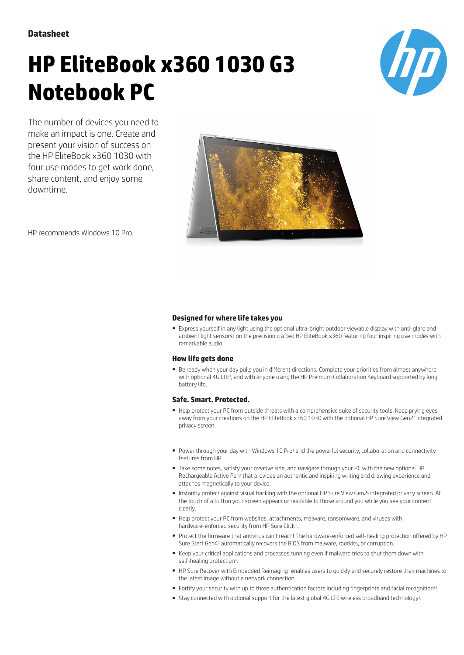**Datasheet**

# **HP EliteBook x360 1030 G3 Notebook PC**



The number of devices you need to make an impact is one. Create and present your vision of success on the HP EliteBook x360 1030 with four use modes to get work done, share content, and enjoy some downtime.



HP recommends Windows 10 Pro.

### **Designed for where life takes you**

● Express yourself in any light using the optional ultra-bright outdoor viewable display with anti-glare and ambient light sensors<sup>2</sup> on the precision crafted HP EliteBook x360 featuring four inspiring use modes with remarkable audio.

## **How life gets done**

● Be ready when your day pulls you in different directions. Complete your priorities from almost anywhere with optional 4G LTE<sup>3</sup> , and with anyone using the HP Premium Collaboration Keyboard supported by long battery life.

### **Safe. Smart. Protected.**

- Help protect your PC from outside threats with a comprehensive suite of security tools. Keep prying eyes away from your creations on the HP EliteBook x360 1030 with the optional HP Sure View Gen2<sup>5</sup> integrated privacy screen.
- Power through your day with Windows 10 Pro<sup>1</sup> and the powerful security, collaboration and connectivity features from HP.
- Take some notes, satisfy your creative side, and navigate through your PC with the new optional HP Rechargeable Active Pen<sup>2</sup> that provides an authentic and inspiring writing and drawing experience and attaches magnetically to your device.
- Instantly protect against visual hacking with the optional HP Sure View Gen2<sup>5</sup> integrated privacy screen. At the touch of a button your screen appears unreadable to those around you while you see your content clearly.
- Help protect your PC from websites, attachments, malware, ransomware, and viruses with hardware-enforced security from HP Sure Click6.
- Protect the firmware that antivirus can't reach! The hardware-enforced self-healing protection offered by HP Sure Start Gen4<sup>7</sup> automatically recovers the BIOS from malware, rootkits, or corruption.
- Keep your critical applications and processes running even if malware tries to shut them down with self-healing protection<sup>8</sup>.
- HP Sure Recover with Embedded Reimaging<sup>9</sup> enables users to quickly and securely restore their machines to the latest image without a network connection.
- Fortify your security with up to three authentication factors including fingerprints and facial recognition<sup>10</sup>.
- Stay connected with optional support for the latest global 4G LTE wireless broadband technology<sup>2</sup>.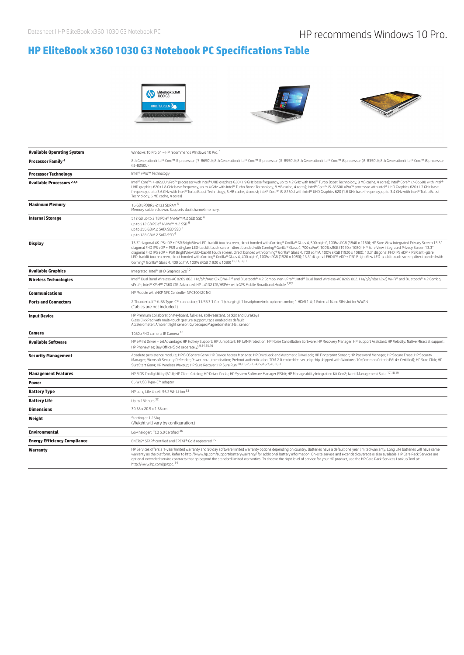# **HP EliteBook x360 1030 G3 Notebook PC Specifications Table**







| <b>Available Operating System</b>     | Windows 10 Pro 64 - HP recommends Windows 10 Pro. 1                                                                                                                                                                                                                                                                                                                                                                                                                                                                                                                                                                                                                                                                                                                                                                                                                                                                                                        |
|---------------------------------------|------------------------------------------------------------------------------------------------------------------------------------------------------------------------------------------------------------------------------------------------------------------------------------------------------------------------------------------------------------------------------------------------------------------------------------------------------------------------------------------------------------------------------------------------------------------------------------------------------------------------------------------------------------------------------------------------------------------------------------------------------------------------------------------------------------------------------------------------------------------------------------------------------------------------------------------------------------|
| <b>Processor Family 4</b>             | 8th Generation Intel® Core™ i7 processor (i7-8650U); 8th Generation Intel® Core™ i7 processor (i7-8550U); 8th Generation Intel® Core™ i5 processor (i5-8350U); 8th Generation Intel® Core™ i5 processor (i5-8350U); 8th Gener<br>$(i5 - 8250U)$                                                                                                                                                                                                                                                                                                                                                                                                                                                                                                                                                                                                                                                                                                            |
| <b>Processor Technology</b>           | Intel® vPro™ Technology                                                                                                                                                                                                                                                                                                                                                                                                                                                                                                                                                                                                                                                                                                                                                                                                                                                                                                                                    |
| Available Processors <sup>2,3,4</sup> | Intel® Core™ i7-8650U vPro™ processor with Intel® UHD graphics 620 (1.9 GHz base frequency, up to 4.2 GHz with Intel® Turbo Boost Technology, 8 MB cache, 4 cores); Intel® Core™ i7-8550U with Intel®<br>UHD graphics 620 (1.8 GHz base frequency, up to 4 GHz with Intel® Turbo Boost Technology, 8 MB cache, 4 cores); Intel® Core™ i5-8350U vPro™ processor with Intel® UHD Graphics 620 (1.7 GHz base<br>frequency, up to 3.6 GHz with Intel® Turbo Boost Technology, 6 MB cache, 4 cores); Intel® Core™ i5-8250U with Intel® UHD Graphics 620 (1.6 GHz base frequency, up to 3.4 GHz with Intel® Turbo Boost<br>Technology, 6 MB cache, 4 cores)                                                                                                                                                                                                                                                                                                      |
| <b>Maximum Memory</b>                 | 16 GB LPDDR3-2133 SDRAM 5<br>Memory soldered down. Supports dual channel memory.                                                                                                                                                                                                                                                                                                                                                                                                                                                                                                                                                                                                                                                                                                                                                                                                                                                                           |
| <b>Internal Storage</b>               | 512 GB up to 2 TB PCIe® NVMe™ M.2 SED SSD 6<br>up to 512 GB PCle® NVMe™ M.2 SSD <sup>6</sup><br>up to 256 GB M.2 SATA SED SSD 6<br>up to 128 GB M.2 SATA SSD 6                                                                                                                                                                                                                                                                                                                                                                                                                                                                                                                                                                                                                                                                                                                                                                                             |
| <b>Display</b>                        | 13.3" diagonal 4K IPS eDP + PSR BrightView LED-backlit touch screen, direct bonded with Corning® Gorilla® Glass 4, 500 cd/m <sup>2</sup> , 100% sRGB (3840 x 2160); HP Sure View Integrated Privacy Screen 13.3"<br>diagonal FHD IPS eDP + PSR anti-glare LED-backlit touch screen, direct bonded with Corning® Gorilla® Glass 4, 700 cd/m <sup>2</sup> , 100% sRGB (1920 x 1080); HP Sure View Integrated Privacy Screen 13.3"<br>diagonal FHD IPS eDP + PSR BrightView LED-backlit touch screen, direct bonded with Corning® Gorilla® Glass 4, 700 cd/m2, 100% sRGB (1920 x 1080); 13.3" diagonal FHD IPS eDP + PSR anti-glare<br>LED-backlit touch screen, direct bonded with Corning® Gorilla® Glass 4, 400 cd/m <sup>2</sup> , 100% sRGB (1920 x 1080); 13.3" diagonal FHD IPS eDP + PSR BrightView LED-backlit touch screen, direct bonded with<br>Corning® Gorilla® Glass 4, 400 cd/m <sup>2</sup> , 100% sRGB (1920 x 1080) <sup>10,11,12,13</sup> |
| <b>Available Graphics</b>             | Integrated: Intel® UHD Graphics 62010                                                                                                                                                                                                                                                                                                                                                                                                                                                                                                                                                                                                                                                                                                                                                                                                                                                                                                                      |
| <b>Wireless Technologies</b>          | Intel® Dual Band Wireless-AC 8265 802.11a/b/g/n/ac (2x2) Wi-Fi® and Bluetooth® 4.2 Combo, non-vPro™; Intel® Dual Band Wireless-AC 8265 802.11a/b/g/n/ac (2x2) Wi-Fi® and Bluetooth® 4.2 Combo,<br>vPro™; Intel® XMM™ 7360 LTE-Advanced; HP lt4132 LTE/HSPA+ with GPS Mobile Broadband Module 7,8,9                                                                                                                                                                                                                                                                                                                                                                                                                                                                                                                                                                                                                                                         |
| <b>Communications</b>                 | HP Module with NXP NFC Controller NPC300 I2C NCI                                                                                                                                                                                                                                                                                                                                                                                                                                                                                                                                                                                                                                                                                                                                                                                                                                                                                                           |
| <b>Ports and Connectors</b>           | 2 Thunderbolt™ (USB Type-C™ connector); 1 USB 3.1 Gen 1 (charging); 1 headphone/microphone combo; 1 HDMI 1.4; 1 External Nano SIM slot for WWAN<br>(Cables are not included.)                                                                                                                                                                                                                                                                                                                                                                                                                                                                                                                                                                                                                                                                                                                                                                              |
| <b>Input Device</b>                   | HP Premium Collaboration Keyboard, full-size, spill-resistant, backlit and DuraKeys<br>Glass ClickPad with multi-touch gesture support, taps enabled as default<br>Accelerometer; Ambient light sensor; Gyroscope; Magnetometer; Hall sensor                                                                                                                                                                                                                                                                                                                                                                                                                                                                                                                                                                                                                                                                                                               |
| Camera                                | 1080p FHD camera; IR Camera 10                                                                                                                                                                                                                                                                                                                                                                                                                                                                                                                                                                                                                                                                                                                                                                                                                                                                                                                             |
| Available Software                    | HP ePrint Driver + JetAdvantage; HP Hotkey Support; HP JumpStart; HP LAN Protection; HP Noise Cancellation Software; HP Recovery Manager; HP Support Assistant; HP Velocity; Native Miracast support;<br>HP PhoneWise; Buy Office (Sold separately) 9,14,15,16                                                                                                                                                                                                                                                                                                                                                                                                                                                                                                                                                                                                                                                                                             |
| <b>Security Management</b>            | Absolute persistence module; HP BIOSphere Gen4; HP Device Access Manager; HP DriveLock and Automatic DriveLock; HP Fingerprint Sensor; HP Password Manager; HP Secure Erase; HP Security<br>Manager; Microsoft Security Defender; Power-on authentication; Preboot authentication; TPM 2.0 embedded security chip shipped with Windows 10 (Common Criteria EAL4+ Certified); HP Sure Click; HP<br>SureStart Gen4; HP Wireless Wakeup; HP Sure Recover; HP Sure Run 20,21,22,23,24,25,26,27,28,30,31                                                                                                                                                                                                                                                                                                                                                                                                                                                        |
| <b>Management Features</b>            | HP BIOS Config Utility (BCU); HP Client Catalog; HP Driver Packs; HP System Software Manager (SSM); HP Manageability Integration Kit Gen2; Ivanti Management Suite 17,18,19                                                                                                                                                                                                                                                                                                                                                                                                                                                                                                                                                                                                                                                                                                                                                                                |
| <b>Power</b>                          | 65 W USB Type-C™ adapter                                                                                                                                                                                                                                                                                                                                                                                                                                                                                                                                                                                                                                                                                                                                                                                                                                                                                                                                   |
| <b>Battery Type</b>                   | HP Long Life 4-cell, 56.2 Wh Li-ion 33                                                                                                                                                                                                                                                                                                                                                                                                                                                                                                                                                                                                                                                                                                                                                                                                                                                                                                                     |
| <b>Battery Life</b>                   | Up to 18 hours 32                                                                                                                                                                                                                                                                                                                                                                                                                                                                                                                                                                                                                                                                                                                                                                                                                                                                                                                                          |
| <b>Dimensions</b>                     | 30.58 x 20.5 x 1.58 cm                                                                                                                                                                                                                                                                                                                                                                                                                                                                                                                                                                                                                                                                                                                                                                                                                                                                                                                                     |
| Weight                                | Starting at 1.25 kg<br>(Weight will vary by configuration.)                                                                                                                                                                                                                                                                                                                                                                                                                                                                                                                                                                                                                                                                                                                                                                                                                                                                                                |
| Environmental                         | Low halogen; TCO 5.0 Certified 36                                                                                                                                                                                                                                                                                                                                                                                                                                                                                                                                                                                                                                                                                                                                                                                                                                                                                                                          |
| <b>Energy Efficiency Compliance</b>   | ENERGY STAR® certified and EPEAT® Gold registered 35                                                                                                                                                                                                                                                                                                                                                                                                                                                                                                                                                                                                                                                                                                                                                                                                                                                                                                       |
| Warranty                              | HP Services offers a 1-year limited warranty and 90 day software limited warranty options depending on country. Batteries have a default one year limited warranty. Long Life batteries will have same<br>warranty as the platform. Refer to http://www.hp.com/support/batterywarranty/ for additional battery information. On-site service and extended coverage is also available. HP Care Pack Services are<br>optional extended service contracts that go beyond the standard limited warranties. To choose the right level of service for your HP product, use the HP Care Pack Services Lookup Tool at:<br>http://www.hp.com/go/cpc. 34                                                                                                                                                                                                                                                                                                              |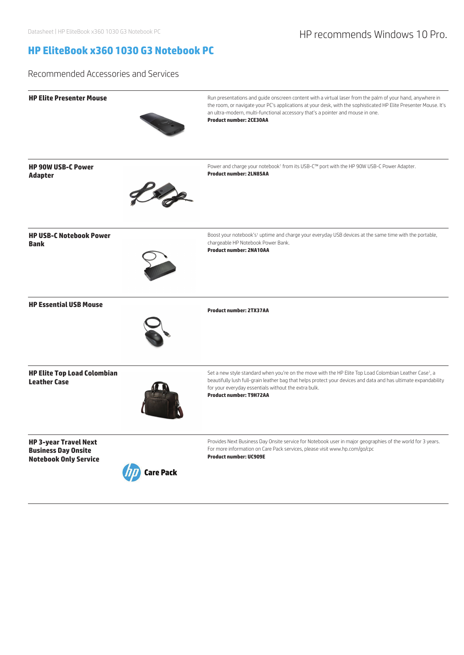# Datasheet | HP EliteBook x360 1030 G3 Notebook PC **HP recommends Windows 10 Pro.**

# **HP EliteBook x360 1030 G3 Notebook PC**

Recommended Accessories and Services